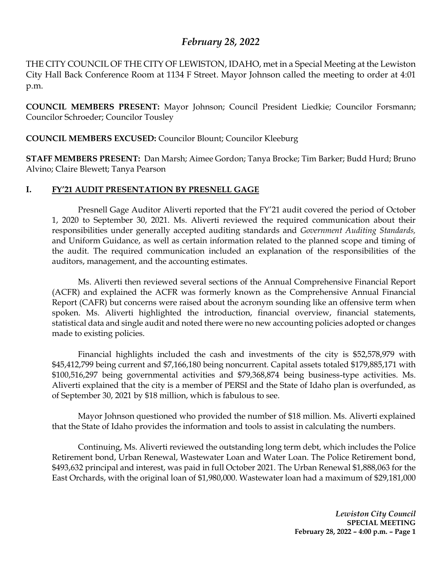## *February 28, 2022*

THE CITY COUNCIL OF THE CITY OF LEWISTON, IDAHO, met in a Special Meeting at the Lewiston City Hall Back Conference Room at 1134 F Street. Mayor Johnson called the meeting to order at 4:01 p.m.

**COUNCIL MEMBERS PRESENT:** Mayor Johnson; Council President Liedkie; Councilor Forsmann; Councilor Schroeder; Councilor Tousley

## **COUNCIL MEMBERS EXCUSED:** Councilor Blount; Councilor Kleeburg

**STAFF MEMBERS PRESENT:** Dan Marsh; Aimee Gordon; Tanya Brocke; Tim Barker; Budd Hurd; Bruno Alvino; Claire Blewett; Tanya Pearson

## **I. FY'21 AUDIT PRESENTATION BY PRESNELL GAGE**

Presnell Gage Auditor Aliverti reported that the FY'21 audit covered the period of October 1, 2020 to September 30, 2021. Ms. Aliverti reviewed the required communication about their responsibilities under generally accepted auditing standards and *Government Auditing Standards,*  and Uniform Guidance, as well as certain information related to the planned scope and timing of the audit. The required communication included an explanation of the responsibilities of the auditors, management, and the accounting estimates.

Ms. Aliverti then reviewed several sections of the Annual Comprehensive Financial Report (ACFR) and explained the ACFR was formerly known as the Comprehensive Annual Financial Report (CAFR) but concerns were raised about the acronym sounding like an offensive term when spoken. Ms. Aliverti highlighted the introduction, financial overview, financial statements, statistical data and single audit and noted there were no new accounting policies adopted or changes made to existing policies.

Financial highlights included the cash and investments of the city is \$52,578,979 with \$45,412,799 being current and \$7,166,180 being noncurrent. Capital assets totaled \$179,885,171 with \$100,516,297 being governmental activities and \$79,368,874 being business-type activities. Ms. Aliverti explained that the city is a member of PERSI and the State of Idaho plan is overfunded, as of September 30, 2021 by \$18 million, which is fabulous to see.

Mayor Johnson questioned who provided the number of \$18 million. Ms. Aliverti explained that the State of Idaho provides the information and tools to assist in calculating the numbers.

Continuing, Ms. Aliverti reviewed the outstanding long term debt, which includes the Police Retirement bond, Urban Renewal, Wastewater Loan and Water Loan. The Police Retirement bond, \$493,632 principal and interest, was paid in full October 2021. The Urban Renewal \$1,888,063 for the East Orchards, with the original loan of \$1,980,000. Wastewater loan had a maximum of \$29,181,000

> *Lewiston City Council* **SPECIAL MEETING February 28, 2022 – 4:00 p.m. – Page 1**